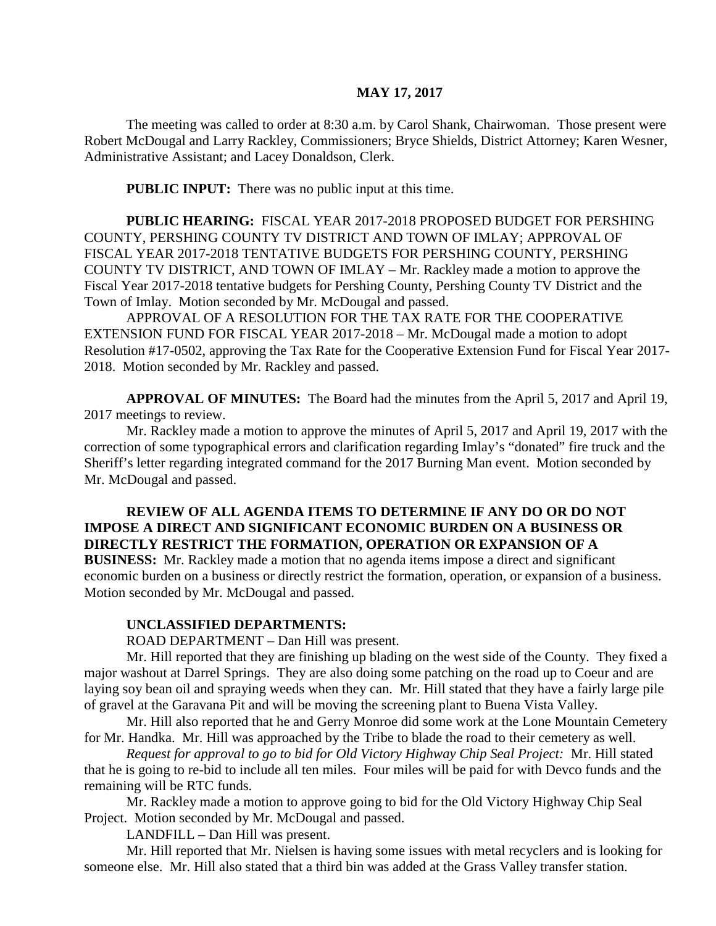#### **MAY 17, 2017**

The meeting was called to order at 8:30 a.m. by Carol Shank, Chairwoman. Those present were Robert McDougal and Larry Rackley, Commissioners; Bryce Shields, District Attorney; Karen Wesner, Administrative Assistant; and Lacey Donaldson, Clerk.

**PUBLIC INPUT:** There was no public input at this time.

**PUBLIC HEARING:** FISCAL YEAR 2017-2018 PROPOSED BUDGET FOR PERSHING COUNTY, PERSHING COUNTY TV DISTRICT AND TOWN OF IMLAY; APPROVAL OF FISCAL YEAR 2017-2018 TENTATIVE BUDGETS FOR PERSHING COUNTY, PERSHING COUNTY TV DISTRICT, AND TOWN OF IMLAY – Mr. Rackley made a motion to approve the Fiscal Year 2017-2018 tentative budgets for Pershing County, Pershing County TV District and the Town of Imlay. Motion seconded by Mr. McDougal and passed.

APPROVAL OF A RESOLUTION FOR THE TAX RATE FOR THE COOPERATIVE EXTENSION FUND FOR FISCAL YEAR 2017-2018 – Mr. McDougal made a motion to adopt Resolution #17-0502, approving the Tax Rate for the Cooperative Extension Fund for Fiscal Year 2017- 2018. Motion seconded by Mr. Rackley and passed.

**APPROVAL OF MINUTES:** The Board had the minutes from the April 5, 2017 and April 19, 2017 meetings to review.

Mr. Rackley made a motion to approve the minutes of April 5, 2017 and April 19, 2017 with the correction of some typographical errors and clarification regarding Imlay's "donated" fire truck and the Sheriff's letter regarding integrated command for the 2017 Burning Man event. Motion seconded by Mr. McDougal and passed.

## **REVIEW OF ALL AGENDA ITEMS TO DETERMINE IF ANY DO OR DO NOT IMPOSE A DIRECT AND SIGNIFICANT ECONOMIC BURDEN ON A BUSINESS OR DIRECTLY RESTRICT THE FORMATION, OPERATION OR EXPANSION OF A**

**BUSINESS:** Mr. Rackley made a motion that no agenda items impose a direct and significant economic burden on a business or directly restrict the formation, operation, or expansion of a business. Motion seconded by Mr. McDougal and passed.

#### **UNCLASSIFIED DEPARTMENTS:**

ROAD DEPARTMENT – Dan Hill was present.

Mr. Hill reported that they are finishing up blading on the west side of the County. They fixed a major washout at Darrel Springs. They are also doing some patching on the road up to Coeur and are laying soy bean oil and spraying weeds when they can. Mr. Hill stated that they have a fairly large pile of gravel at the Garavana Pit and will be moving the screening plant to Buena Vista Valley.

Mr. Hill also reported that he and Gerry Monroe did some work at the Lone Mountain Cemetery for Mr. Handka. Mr. Hill was approached by the Tribe to blade the road to their cemetery as well.

*Request for approval to go to bid for Old Victory Highway Chip Seal Project:* Mr. Hill stated that he is going to re-bid to include all ten miles. Four miles will be paid for with Devco funds and the remaining will be RTC funds.

Mr. Rackley made a motion to approve going to bid for the Old Victory Highway Chip Seal Project. Motion seconded by Mr. McDougal and passed.

LANDFILL – Dan Hill was present.

Mr. Hill reported that Mr. Nielsen is having some issues with metal recyclers and is looking for someone else. Mr. Hill also stated that a third bin was added at the Grass Valley transfer station.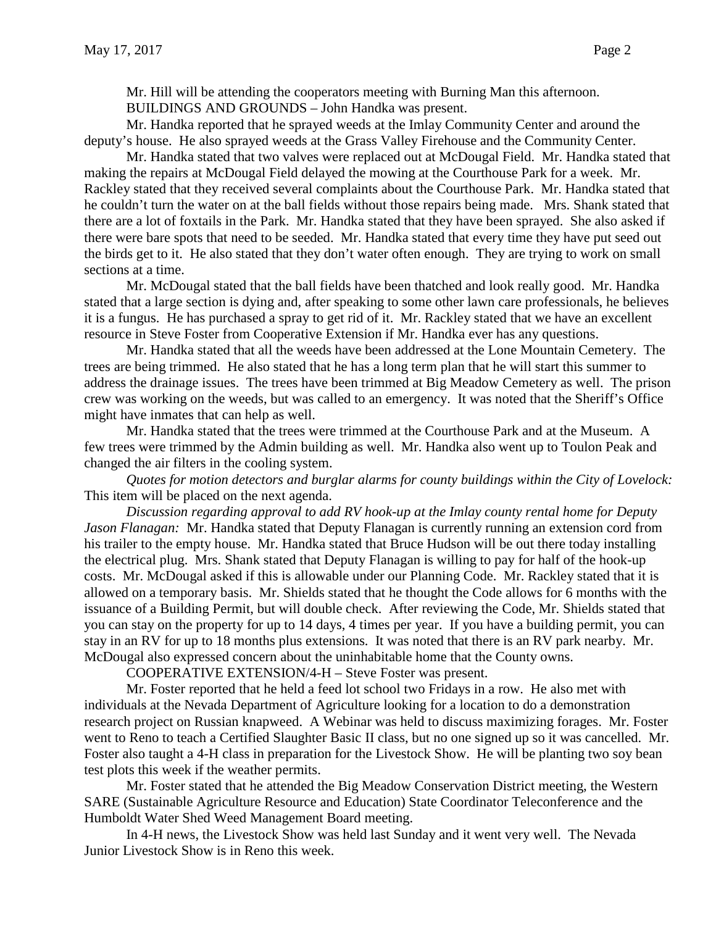Mr. Hill will be attending the cooperators meeting with Burning Man this afternoon.

BUILDINGS AND GROUNDS – John Handka was present.

Mr. Handka reported that he sprayed weeds at the Imlay Community Center and around the deputy's house. He also sprayed weeds at the Grass Valley Firehouse and the Community Center.

Mr. Handka stated that two valves were replaced out at McDougal Field. Mr. Handka stated that making the repairs at McDougal Field delayed the mowing at the Courthouse Park for a week. Mr. Rackley stated that they received several complaints about the Courthouse Park. Mr. Handka stated that he couldn't turn the water on at the ball fields without those repairs being made. Mrs. Shank stated that there are a lot of foxtails in the Park. Mr. Handka stated that they have been sprayed. She also asked if there were bare spots that need to be seeded. Mr. Handka stated that every time they have put seed out the birds get to it. He also stated that they don't water often enough. They are trying to work on small sections at a time.

Mr. McDougal stated that the ball fields have been thatched and look really good. Mr. Handka stated that a large section is dying and, after speaking to some other lawn care professionals, he believes it is a fungus. He has purchased a spray to get rid of it. Mr. Rackley stated that we have an excellent resource in Steve Foster from Cooperative Extension if Mr. Handka ever has any questions.

Mr. Handka stated that all the weeds have been addressed at the Lone Mountain Cemetery. The trees are being trimmed. He also stated that he has a long term plan that he will start this summer to address the drainage issues. The trees have been trimmed at Big Meadow Cemetery as well. The prison crew was working on the weeds, but was called to an emergency. It was noted that the Sheriff's Office might have inmates that can help as well.

Mr. Handka stated that the trees were trimmed at the Courthouse Park and at the Museum. A few trees were trimmed by the Admin building as well. Mr. Handka also went up to Toulon Peak and changed the air filters in the cooling system.

*Quotes for motion detectors and burglar alarms for county buildings within the City of Lovelock:* This item will be placed on the next agenda.

*Discussion regarding approval to add RV hook-up at the Imlay county rental home for Deputy Jason Flanagan:* Mr. Handka stated that Deputy Flanagan is currently running an extension cord from his trailer to the empty house. Mr. Handka stated that Bruce Hudson will be out there today installing the electrical plug. Mrs. Shank stated that Deputy Flanagan is willing to pay for half of the hook-up costs. Mr. McDougal asked if this is allowable under our Planning Code. Mr. Rackley stated that it is allowed on a temporary basis. Mr. Shields stated that he thought the Code allows for 6 months with the issuance of a Building Permit, but will double check. After reviewing the Code, Mr. Shields stated that you can stay on the property for up to 14 days, 4 times per year. If you have a building permit, you can stay in an RV for up to 18 months plus extensions. It was noted that there is an RV park nearby. Mr. McDougal also expressed concern about the uninhabitable home that the County owns.

COOPERATIVE EXTENSION/4-H – Steve Foster was present.

Mr. Foster reported that he held a feed lot school two Fridays in a row. He also met with individuals at the Nevada Department of Agriculture looking for a location to do a demonstration research project on Russian knapweed. A Webinar was held to discuss maximizing forages. Mr. Foster went to Reno to teach a Certified Slaughter Basic II class, but no one signed up so it was cancelled. Mr. Foster also taught a 4-H class in preparation for the Livestock Show. He will be planting two soy bean test plots this week if the weather permits.

Mr. Foster stated that he attended the Big Meadow Conservation District meeting, the Western SARE (Sustainable Agriculture Resource and Education) State Coordinator Teleconference and the Humboldt Water Shed Weed Management Board meeting.

In 4-H news, the Livestock Show was held last Sunday and it went very well. The Nevada Junior Livestock Show is in Reno this week.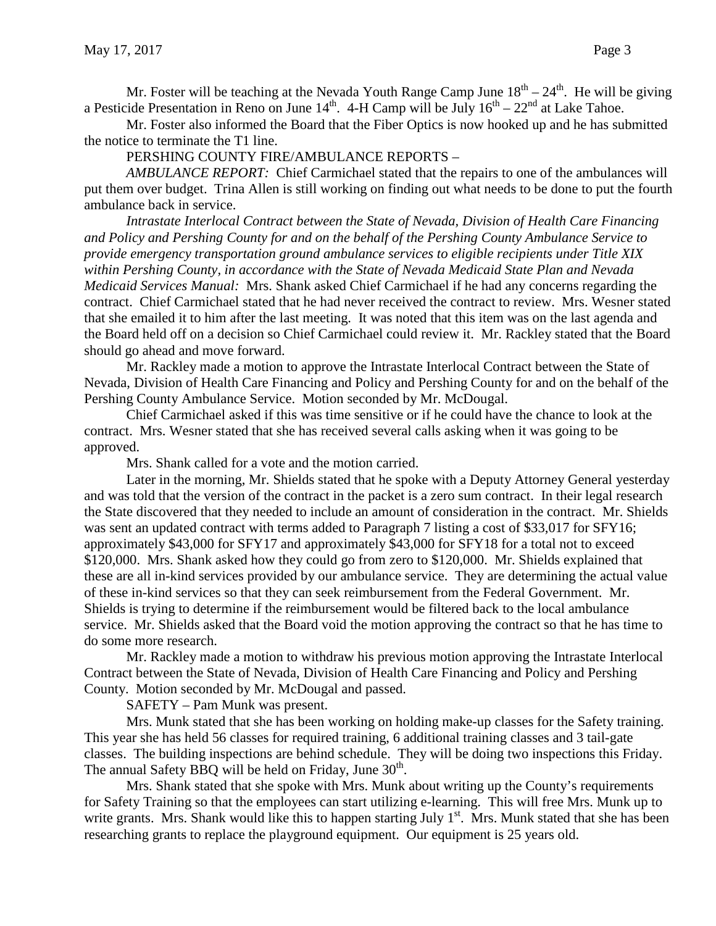Mr. Foster will be teaching at the Nevada Youth Range Camp June  $18<sup>th</sup> - 24<sup>th</sup>$ . He will be giving a Pesticide Presentation in Reno on June  $14^{\text{th}}$ . 4-H Camp will be July  $16^{\text{th}} - 22^{\text{nd}}$  at Lake Tahoe.

Mr. Foster also informed the Board that the Fiber Optics is now hooked up and he has submitted the notice to terminate the T1 line.

PERSHING COUNTY FIRE/AMBULANCE REPORTS –

*AMBULANCE REPORT:* Chief Carmichael stated that the repairs to one of the ambulances will put them over budget. Trina Allen is still working on finding out what needs to be done to put the fourth ambulance back in service.

*Intrastate Interlocal Contract between the State of Nevada, Division of Health Care Financing and Policy and Pershing County for and on the behalf of the Pershing County Ambulance Service to provide emergency transportation ground ambulance services to eligible recipients under Title XIX within Pershing County, in accordance with the State of Nevada Medicaid State Plan and Nevada Medicaid Services Manual:* Mrs. Shank asked Chief Carmichael if he had any concerns regarding the contract. Chief Carmichael stated that he had never received the contract to review. Mrs. Wesner stated that she emailed it to him after the last meeting. It was noted that this item was on the last agenda and the Board held off on a decision so Chief Carmichael could review it. Mr. Rackley stated that the Board should go ahead and move forward.

Mr. Rackley made a motion to approve the Intrastate Interlocal Contract between the State of Nevada, Division of Health Care Financing and Policy and Pershing County for and on the behalf of the Pershing County Ambulance Service. Motion seconded by Mr. McDougal.

Chief Carmichael asked if this was time sensitive or if he could have the chance to look at the contract. Mrs. Wesner stated that she has received several calls asking when it was going to be approved.

Mrs. Shank called for a vote and the motion carried.

Later in the morning, Mr. Shields stated that he spoke with a Deputy Attorney General yesterday and was told that the version of the contract in the packet is a zero sum contract. In their legal research the State discovered that they needed to include an amount of consideration in the contract. Mr. Shields was sent an updated contract with terms added to Paragraph 7 listing a cost of \$33,017 for SFY16; approximately \$43,000 for SFY17 and approximately \$43,000 for SFY18 for a total not to exceed \$120,000. Mrs. Shank asked how they could go from zero to \$120,000. Mr. Shields explained that these are all in-kind services provided by our ambulance service. They are determining the actual value of these in-kind services so that they can seek reimbursement from the Federal Government. Mr. Shields is trying to determine if the reimbursement would be filtered back to the local ambulance service. Mr. Shields asked that the Board void the motion approving the contract so that he has time to do some more research.

Mr. Rackley made a motion to withdraw his previous motion approving the Intrastate Interlocal Contract between the State of Nevada, Division of Health Care Financing and Policy and Pershing County. Motion seconded by Mr. McDougal and passed.

SAFETY – Pam Munk was present.

Mrs. Munk stated that she has been working on holding make-up classes for the Safety training. This year she has held 56 classes for required training, 6 additional training classes and 3 tail-gate classes. The building inspections are behind schedule. They will be doing two inspections this Friday. The annual Safety BBQ will be held on Friday, June  $30<sup>th</sup>$ .

Mrs. Shank stated that she spoke with Mrs. Munk about writing up the County's requirements for Safety Training so that the employees can start utilizing e-learning. This will free Mrs. Munk up to write grants. Mrs. Shank would like this to happen starting July  $1<sup>st</sup>$ . Mrs. Munk stated that she has been researching grants to replace the playground equipment. Our equipment is 25 years old.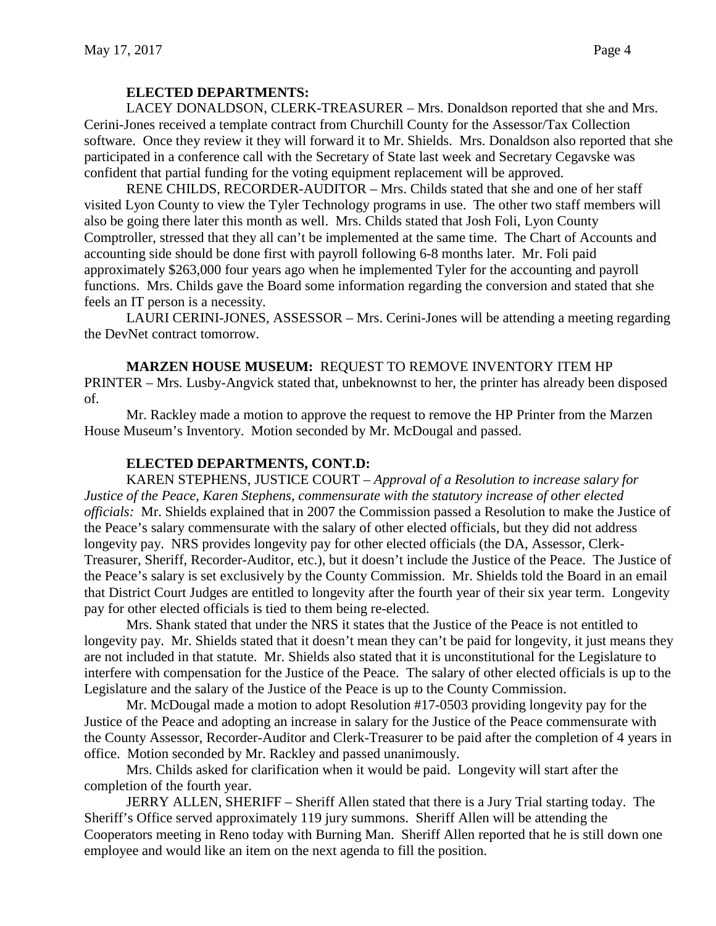### **ELECTED DEPARTMENTS:**

LACEY DONALDSON, CLERK-TREASURER – Mrs. Donaldson reported that she and Mrs. Cerini-Jones received a template contract from Churchill County for the Assessor/Tax Collection software. Once they review it they will forward it to Mr. Shields. Mrs. Donaldson also reported that she participated in a conference call with the Secretary of State last week and Secretary Cegavske was confident that partial funding for the voting equipment replacement will be approved.

RENE CHILDS, RECORDER-AUDITOR – Mrs. Childs stated that she and one of her staff visited Lyon County to view the Tyler Technology programs in use. The other two staff members will also be going there later this month as well. Mrs. Childs stated that Josh Foli, Lyon County Comptroller, stressed that they all can't be implemented at the same time. The Chart of Accounts and accounting side should be done first with payroll following 6-8 months later. Mr. Foli paid approximately \$263,000 four years ago when he implemented Tyler for the accounting and payroll functions. Mrs. Childs gave the Board some information regarding the conversion and stated that she feels an IT person is a necessity.

LAURI CERINI-JONES, ASSESSOR – Mrs. Cerini-Jones will be attending a meeting regarding the DevNet contract tomorrow.

**MARZEN HOUSE MUSEUM:** REQUEST TO REMOVE INVENTORY ITEM HP PRINTER – Mrs. Lusby-Angvick stated that, unbeknownst to her, the printer has already been disposed of.

Mr. Rackley made a motion to approve the request to remove the HP Printer from the Marzen House Museum's Inventory. Motion seconded by Mr. McDougal and passed.

### **ELECTED DEPARTMENTS, CONT.D:**

KAREN STEPHENS, JUSTICE COURT – *Approval of a Resolution to increase salary for Justice of the Peace, Karen Stephens, commensurate with the statutory increase of other elected officials:* Mr. Shields explained that in 2007 the Commission passed a Resolution to make the Justice of the Peace's salary commensurate with the salary of other elected officials, but they did not address longevity pay. NRS provides longevity pay for other elected officials (the DA, Assessor, Clerk-Treasurer, Sheriff, Recorder-Auditor, etc.), but it doesn't include the Justice of the Peace. The Justice of the Peace's salary is set exclusively by the County Commission. Mr. Shields told the Board in an email that District Court Judges are entitled to longevity after the fourth year of their six year term. Longevity pay for other elected officials is tied to them being re-elected.

Mrs. Shank stated that under the NRS it states that the Justice of the Peace is not entitled to longevity pay. Mr. Shields stated that it doesn't mean they can't be paid for longevity, it just means they are not included in that statute. Mr. Shields also stated that it is unconstitutional for the Legislature to interfere with compensation for the Justice of the Peace. The salary of other elected officials is up to the Legislature and the salary of the Justice of the Peace is up to the County Commission.

Mr. McDougal made a motion to adopt Resolution #17-0503 providing longevity pay for the Justice of the Peace and adopting an increase in salary for the Justice of the Peace commensurate with the County Assessor, Recorder-Auditor and Clerk-Treasurer to be paid after the completion of 4 years in office. Motion seconded by Mr. Rackley and passed unanimously.

Mrs. Childs asked for clarification when it would be paid. Longevity will start after the completion of the fourth year.

JERRY ALLEN, SHERIFF – Sheriff Allen stated that there is a Jury Trial starting today. The Sheriff's Office served approximately 119 jury summons. Sheriff Allen will be attending the Cooperators meeting in Reno today with Burning Man. Sheriff Allen reported that he is still down one employee and would like an item on the next agenda to fill the position.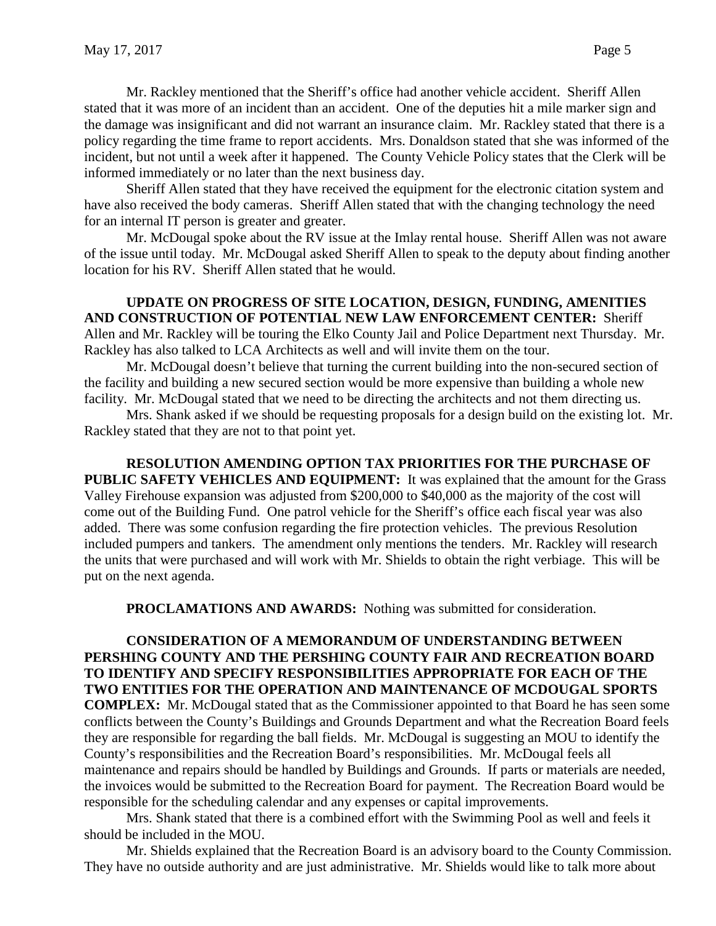Mr. Rackley mentioned that the Sheriff's office had another vehicle accident. Sheriff Allen stated that it was more of an incident than an accident. One of the deputies hit a mile marker sign and the damage was insignificant and did not warrant an insurance claim. Mr. Rackley stated that there is a policy regarding the time frame to report accidents. Mrs. Donaldson stated that she was informed of the incident, but not until a week after it happened. The County Vehicle Policy states that the Clerk will be informed immediately or no later than the next business day.

Sheriff Allen stated that they have received the equipment for the electronic citation system and have also received the body cameras. Sheriff Allen stated that with the changing technology the need for an internal IT person is greater and greater.

Mr. McDougal spoke about the RV issue at the Imlay rental house. Sheriff Allen was not aware of the issue until today. Mr. McDougal asked Sheriff Allen to speak to the deputy about finding another location for his RV. Sheriff Allen stated that he would.

**UPDATE ON PROGRESS OF SITE LOCATION, DESIGN, FUNDING, AMENITIES AND CONSTRUCTION OF POTENTIAL NEW LAW ENFORCEMENT CENTER:** Sheriff Allen and Mr. Rackley will be touring the Elko County Jail and Police Department next Thursday. Mr. Rackley has also talked to LCA Architects as well and will invite them on the tour.

Mr. McDougal doesn't believe that turning the current building into the non-secured section of the facility and building a new secured section would be more expensive than building a whole new facility. Mr. McDougal stated that we need to be directing the architects and not them directing us.

Mrs. Shank asked if we should be requesting proposals for a design build on the existing lot. Mr. Rackley stated that they are not to that point yet.

**RESOLUTION AMENDING OPTION TAX PRIORITIES FOR THE PURCHASE OF PUBLIC SAFETY VEHICLES AND EQUIPMENT:** It was explained that the amount for the Grass Valley Firehouse expansion was adjusted from \$200,000 to \$40,000 as the majority of the cost will come out of the Building Fund. One patrol vehicle for the Sheriff's office each fiscal year was also added. There was some confusion regarding the fire protection vehicles. The previous Resolution included pumpers and tankers. The amendment only mentions the tenders. Mr. Rackley will research the units that were purchased and will work with Mr. Shields to obtain the right verbiage. This will be put on the next agenda.

**PROCLAMATIONS AND AWARDS:** Nothing was submitted for consideration.

**CONSIDERATION OF A MEMORANDUM OF UNDERSTANDING BETWEEN PERSHING COUNTY AND THE PERSHING COUNTY FAIR AND RECREATION BOARD TO IDENTIFY AND SPECIFY RESPONSIBILITIES APPROPRIATE FOR EACH OF THE TWO ENTITIES FOR THE OPERATION AND MAINTENANCE OF MCDOUGAL SPORTS COMPLEX:** Mr. McDougal stated that as the Commissioner appointed to that Board he has seen some conflicts between the County's Buildings and Grounds Department and what the Recreation Board feels they are responsible for regarding the ball fields. Mr. McDougal is suggesting an MOU to identify the County's responsibilities and the Recreation Board's responsibilities. Mr. McDougal feels all maintenance and repairs should be handled by Buildings and Grounds. If parts or materials are needed, the invoices would be submitted to the Recreation Board for payment. The Recreation Board would be responsible for the scheduling calendar and any expenses or capital improvements.

Mrs. Shank stated that there is a combined effort with the Swimming Pool as well and feels it should be included in the MOU.

Mr. Shields explained that the Recreation Board is an advisory board to the County Commission. They have no outside authority and are just administrative. Mr. Shields would like to talk more about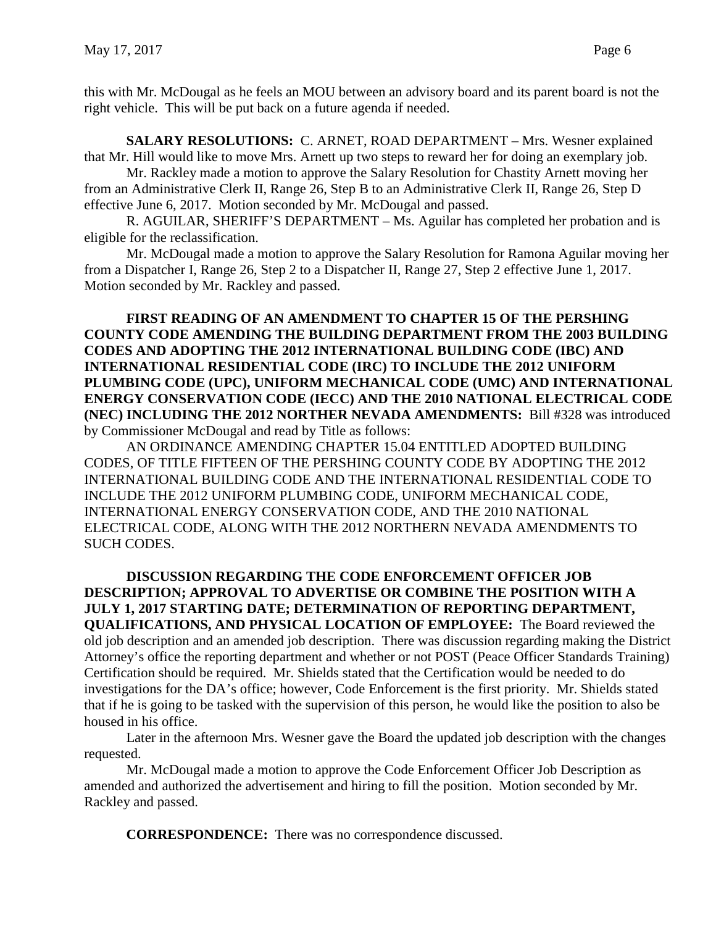this with Mr. McDougal as he feels an MOU between an advisory board and its parent board is not the right vehicle. This will be put back on a future agenda if needed.

**SALARY RESOLUTIONS:** C. ARNET, ROAD DEPARTMENT – Mrs. Wesner explained that Mr. Hill would like to move Mrs. Arnett up two steps to reward her for doing an exemplary job.

Mr. Rackley made a motion to approve the Salary Resolution for Chastity Arnett moving her from an Administrative Clerk II, Range 26, Step B to an Administrative Clerk II, Range 26, Step D effective June 6, 2017. Motion seconded by Mr. McDougal and passed.

R. AGUILAR, SHERIFF'S DEPARTMENT – Ms. Aguilar has completed her probation and is eligible for the reclassification.

Mr. McDougal made a motion to approve the Salary Resolution for Ramona Aguilar moving her from a Dispatcher I, Range 26, Step 2 to a Dispatcher II, Range 27, Step 2 effective June 1, 2017. Motion seconded by Mr. Rackley and passed.

**FIRST READING OF AN AMENDMENT TO CHAPTER 15 OF THE PERSHING COUNTY CODE AMENDING THE BUILDING DEPARTMENT FROM THE 2003 BUILDING CODES AND ADOPTING THE 2012 INTERNATIONAL BUILDING CODE (IBC) AND INTERNATIONAL RESIDENTIAL CODE (IRC) TO INCLUDE THE 2012 UNIFORM PLUMBING CODE (UPC), UNIFORM MECHANICAL CODE (UMC) AND INTERNATIONAL ENERGY CONSERVATION CODE (IECC) AND THE 2010 NATIONAL ELECTRICAL CODE (NEC) INCLUDING THE 2012 NORTHER NEVADA AMENDMENTS:** Bill #328 was introduced by Commissioner McDougal and read by Title as follows:

AN ORDINANCE AMENDING CHAPTER 15.04 ENTITLED ADOPTED BUILDING CODES, OF TITLE FIFTEEN OF THE PERSHING COUNTY CODE BY ADOPTING THE 2012 INTERNATIONAL BUILDING CODE AND THE INTERNATIONAL RESIDENTIAL CODE TO INCLUDE THE 2012 UNIFORM PLUMBING CODE, UNIFORM MECHANICAL CODE, INTERNATIONAL ENERGY CONSERVATION CODE, AND THE 2010 NATIONAL ELECTRICAL CODE, ALONG WITH THE 2012 NORTHERN NEVADA AMENDMENTS TO SUCH CODES.

## **DISCUSSION REGARDING THE CODE ENFORCEMENT OFFICER JOB DESCRIPTION; APPROVAL TO ADVERTISE OR COMBINE THE POSITION WITH A JULY 1, 2017 STARTING DATE; DETERMINATION OF REPORTING DEPARTMENT, QUALIFICATIONS, AND PHYSICAL LOCATION OF EMPLOYEE:** The Board reviewed the old job description and an amended job description. There was discussion regarding making the District Attorney's office the reporting department and whether or not POST (Peace Officer Standards Training) Certification should be required. Mr. Shields stated that the Certification would be needed to do investigations for the DA's office; however, Code Enforcement is the first priority. Mr. Shields stated that if he is going to be tasked with the supervision of this person, he would like the position to also be housed in his office.

Later in the afternoon Mrs. Wesner gave the Board the updated job description with the changes requested.

Mr. McDougal made a motion to approve the Code Enforcement Officer Job Description as amended and authorized the advertisement and hiring to fill the position. Motion seconded by Mr. Rackley and passed.

**CORRESPONDENCE:** There was no correspondence discussed.